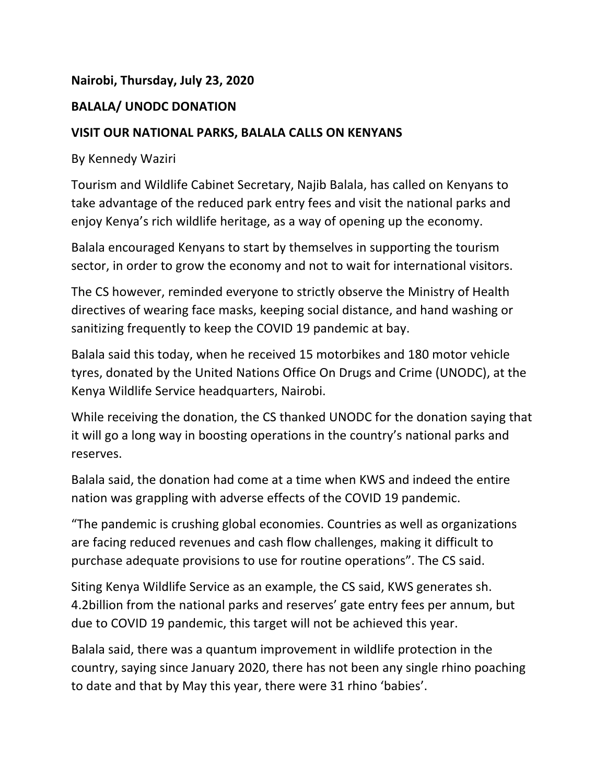## **Nairobi, Thursday, July 23, 2020**

## **BALALA/ UNODC DONATION**

## **VISIT OUR NATIONAL PARKS, BALALA CALLS ON KENYANS**

By Kennedy Waziri

Tourism and Wildlife Cabinet Secretary, Najib Balala, has called on Kenyans to take advantage of the reduced park entry fees and visit the national parks and enjoy Kenya's rich wildlife heritage, as a way of opening up the economy.

Balala encouraged Kenyans to start by themselves in supporting the tourism sector, in order to grow the economy and not to wait for international visitors.

The CS however, reminded everyone to strictly observe the Ministry of Health directives of wearing face masks, keeping social distance, and hand washing or sanitizing frequently to keep the COVID 19 pandemic at bay.

Balala said this today, when he received 15 motorbikes and 180 motor vehicle tyres, donated by the United Nations Office On Drugs and Crime (UNODC), at the Kenya Wildlife Service headquarters, Nairobi.

While receiving the donation, the CS thanked UNODC for the donation saying that it will go a long way in boosting operations in the country's national parks and reserves.

Balala said, the donation had come at a time when KWS and indeed the entire nation was grappling with adverse effects of the COVID 19 pandemic.

"The pandemic is crushing global economies. Countries as well as organizations are facing reduced revenues and cash flow challenges, making it difficult to purchase adequate provisions to use for routine operations". The CS said.

Siting Kenya Wildlife Service as an example, the CS said, KWS generates sh. 4.2billion from the national parks and reserves' gate entry fees per annum, but due to COVID 19 pandemic, this target will not be achieved this year.

Balala said, there was a quantum improvement in wildlife protection in the country, saying since January 2020, there has not been any single rhino poaching to date and that by May this year, there were 31 rhino 'babies'.